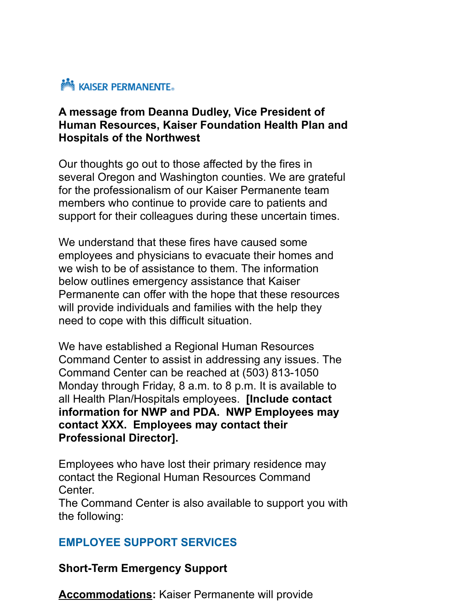

#### **A message from Deanna Dudley, Vice President of Human Resources, Kaiser Foundation Health Plan and Hospitals of the Northwest**

Our thoughts go out to those affected by the fires in several Oregon and Washington counties. We are grateful for the professionalism of our Kaiser Permanente team members who continue to provide care to patients and support for their colleagues during these uncertain times.

We understand that these fires have caused some employees and physicians to evacuate their homes and we wish to be of assistance to them. The information below outlines emergency assistance that Kaiser Permanente can offer with the hope that these resources will provide individuals and families with the help they need to cope with this difficult situation.

We have established a Regional Human Resources Command Center to assist in addressing any issues. The Command Center can be reached at (503) 813-1050 Monday through Friday, 8 a.m. to 8 p.m. It is available to all Health Plan/Hospitals employees. **[Include contact information for NWP and PDA. NWP Employees may contact XXX. Employees may contact their Professional Director].**

Employees who have lost their primary residence may contact the Regional Human Resources Command Center.

The Command Center is also available to support you with the following:

### **EMPLOYEE SUPPORT SERVICES**

**Short-Term Emergency Support**

**Accommodations:** Kaiser Permanente will provide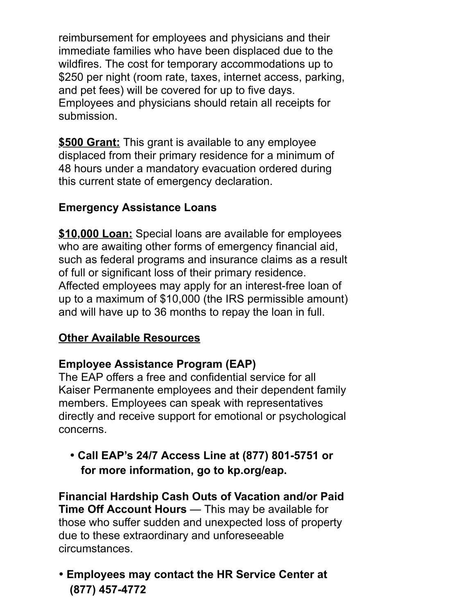reimbursement for employees and physicians and their immediate families who have been displaced due to the wildfires. The cost for temporary accommodations up to \$250 per night (room rate, taxes, internet access, parking, and pet fees) will be covered for up to five days. Employees and physicians should retain all receipts for submission.

**\$500 Grant:** This grant is available to any employee displaced from their primary residence for a minimum of 48 hours under a mandatory evacuation ordered during this current state of emergency declaration.

## **Emergency Assistance Loans**

**\$10,000 Loan:** Special loans are available for employees who are awaiting other forms of emergency financial aid, such as federal programs and insurance claims as a result of full or significant loss of their primary residence. Affected employees may apply for an interest-free loan of up to a maximum of \$10,000 (the IRS permissible amount) and will have up to 36 months to repay the loan in full.

### **Other Available Resources**

# **Employee Assistance Program (EAP)**

The EAP offers a free and confidential service for all Kaiser Permanente employees and their dependent family members. Employees can speak with representatives directly and receive support for emotional or psychological concerns.

• **Call EAP's 24/7 Access Line at (877) 801-5751 or for more information, go to kp.org/eap.**

**Financial Hardship Cash Outs of Vacation and/or Paid Time Off Account Hours** — This may be available for those who suffer sudden and unexpected loss of property due to these extraordinary and unforeseeable circumstances.

• **Employees may contact the HR Service Center at (877) 457-4772**